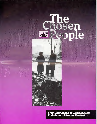

*From Skinheads to Demagogues: Prelude to a Massive* **Exodus!**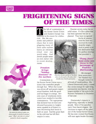

## **FRIGHTENING SIGNS OF THE TIMES.**

The fall of communism in<br>the former Soviet Union<br>and Eastern Europe was<br>supposed to be reason for celebrathe former Soviet Union and Eastern Europe was supposed to be reason for celebra-

tion. But the economic and political chaos that is now plaguing many of these same nations leaves an ominous cloud over our world today. And Jewish people sense an even darker side to recent developments.

### *Freedom brings "hidden diseases" to the surface.*

*families have lived for generations.* Communism in the former Soviet Union was a tyrant that controlled people through fear. When that tyrant was driven off and people experienced freedom, both the good and bad began to emerge. Seventy years of totalitarian dominance have resulted in horrible consequences. The superpower that declared war on God and elevated humanism to heights never equaled in all history is now discovering their house is built on sand. And the great thaw in the cold war has left their empire in ruins.

Russian society today has no solid values. It's like a plant that has been uprooted but not replanted. They have recognized



*force Jewish people to flee places their* 

the lie of communism but have not received the truth. Anarchy reigns. And its power is no less destructive than the godless ideology that preceded it.

*"Fuzzy fears" have come into focus in* **the**  *personage of Vladimir Zhirinovsky.* 

He emerged from anonymity. Yet Vladimir has brought turmoil to

all levels of world politics. His Liberal-Democratic party, a name that seems strange for right-wing, nationalistic neo-fascists, won the largest number of the seats in the Russian Parliament in December of last year.

Zhirinovsky's rhetoric is frightening, especially to Jewish people. Most of his speeches carry Nazi fascist slogans. He threatens to regain all the splendor of the former Soviet Union. He has even claimed that Russia will once again border Germany



drives people to search for spiritual *peace. That's why this is a critical*  period for Jewish evangelism.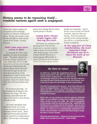

### *History seems to be repeating itself... troubled nations again seek a scapegoat.*

on the west, which implies the • occupation of the sovereign countries of Ukraine, Poland and others. He has also made it clear that he will fight to wipe out the cancer of the world -- namely Zionism.

### *God's plan once more comes to light.*

In Jeremiah 23:7-8 we read prophecy of what we're seeing today. "Therefore, behold the days are coming, declares the Lord, when they will no longer say as the Lord lives who brought up the sons of Israel from the land of Egypt, but as the Lord lives who brought up and led back the descendants of the household of Israel from the land of the north, and from all the countries where I've driven them. Then they will live on their own soil."

So we have a new sign. It's , not coming out of Egypt or the Passover any longer. But this returning, especially from the lands of the north, is from Russia and other lands.

An Israeli newspaper published the results of a recent survey among Jewish people in the former Soviet Union. More than half (56 percent) said they had no intention of emigrating to Israel. Zhirinovsky's increasing

power may change that for many Jewish people in Russia.

### *Loving God's chosen people begins with sharing His truth.*

Christians can respond to this growing threat with fervent prayer and a renewed commitment to share the Good News with Jewish people everywhere. Chosen People Ministries is increasing our efforts both in places like Russia and Germany - where hostilities against Jewish

people are mounting -- and in Israel, across Europe and North America, wherever they are fleeing. With the projected turmoil in the coming months, this will be a critical period for Jewish evangelism.

*In the ugly face of rising anti-Semitism, the most important thing Christians can do is share the truth of our Messiah.* 



*Sam Nadler; President Chosen People Ministries* 

### *No time to relax!*

As believers, seeing the prophesied return of Jewish people from "the north" to Israel should not lull us into complacency. Yes, they may be out of danger and back in their own land. But God's full, final

and eternal work is that His people receive the Gospel. Now is the day to take full advantage of these opportunities.

One day I'm going to be in heaven. And I'll worship as I've never worshipped before. But there's one thing I won't be able to do then -- that is witness! All believers will be held responsible for how we utilize the opportunities we are given to share the Gospel.

That's why we are working so hard to advance SHALOM 2000, our new initiative to reach all 11 major Jewish population centers by the year 2000. We want to evangelize Jewish people while the opportunities exist -- while they are at their most accessible point for the Gospel. And we want every born-again believer to pray as they've never prayed before. To support us as we desperately need them to do. And to, where possible, volunteer their time to help evangelize God's chosen people.

This is the appointed hour. "Open your eyes and look at the fields! They are ripe for harvest." (John 4:35b)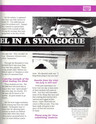On the surface, it appeared that there was little interest in Isaiah 53. The rabbi had prepared his students well. Instead, they wanted to express their disgust at the concept of hell. During the evening, they kept going back to the idea of hell,



# **LEL IN A SYNAGOGUE**

over and over. They wouldn't let it go. Messianic believers were called "extremists."

Through the discussion it was revealed that it was more than Jesus that they rejected. These young people didn't believe any biblical aspect of Judaism or even the idea of a personal God. tions. His sheepish reply was, "I

### *A glaring example of the blind leading the blind.*

These students are lost. But the rabbi had told them that as long as they were "good people," they were okay for eternity. It's the same old lie heard so frequently: all good people to go heaven.

f i

> But the most tragic revelation of the evening was from the rabbi himself. Christopher later rebuked him for allowing these students to attack our biblical Jewish faith when they themselves had no personal belief in God, let alone biblical convic-



bring them along in my own way"

### *Results from the trial: the jury is still out!*

From past experience, we know that one day at least some of these students will come to faith. And they will remember some of the things that were said that evening that touched their interests and tugged at their hearts. God's Word will not return to Him in vain. Pray that these seeds will grow to the glory of God and salvation of many.

*Please pray for these unbelieving students.* 



*Reaching young people with the truth about our Messiah Jesus while their hearts are tender and their minds are open is a tremendous challenge.*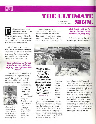

### **THE ULTIMATE**

*by Larry Jaffey U.S. Ministries Director* **SIGN.** 

and time prophecy is an exciting and often contra<br>versial subject in the<br>Christian community. When the exciting and often controversial subject in the Christian community. When the subject of prophecy is mentioned, an air of excitement and expectation enters the conversation.

We all want to see evidence that God is presently working in our world and prophecy provides that truth. With that proof we can provide to our detractors evidence of God's existence.

### *The existence of Israel stands as the ultimate sign of God's power and control.*

Though each of us has his or her own list of "signs of the last days," the one prophecy most everyone will mention as evidence we are close to the end of





*Reaching Jewish people with the Gospel is the most important thing we can do today for the nation of Israel* 

this age is the existence of the nation of Israel. God repeatedly said He would bring the Jewish people back to their land in the last days. *(Deut. 30:3; Is. 11:1-12; Jer. 16:15, 23:8, 32:27; Ezek. 37:21)* 

Israel, though a country .surrounded by nations bent on her destruction, has survived. This small country, with a population only about the same as the state of Maryland, has caught the

### *Spiritual rebirth for Israel is even more critical to prophecy.*

It is exciting to see how God is working today in bringing His



*"For I will take you from the nations, gather you from all the lands, and bring you into your own land." (Ezekiel 3621)* 

land has been turned into a garden. Ezekiel quotes God as saying this return was to "vindicate the holiness of My great name." (Ezek. 36:23) Truly with the return of the Jewish people to the land, the world is once again obligated to consider the God of Abraham, Isaac and Jacob.

attention of the world. A visit to Israel reveals how a waste-

*t*

A

*Al .114 1*

*,*  At

people back to the Promised Land. But there is a danger that we must avoid. Often Christians become so enamored with Israel as a nation they forget God's ultimate desire is that His people worship Him. Every prophecy about people returning to the land includes a prophecy about a spiritual rebirth of the people. The passage in Ezekiel 36 goes on to say, "moreover, I will give you a new heart and put a new spirit within you." (Ezek. 36:26)

**4'4**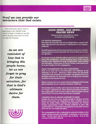

### *Proof we can provide our detractors that God exists.*

Our excitement about what is happening in the Middle East should include a burden to see the Jewish people come back to God through the Messiah.

> *As we are reminded of how God is bringing His people home, let us not forget to pray for their salvation, for that is God's ultimate desire for them.*



### *GOOD NEWS...BAD NEWS... PRAYER NEWS*

Please use these news briefs as a basis for prayer and thanksgiving.

### LOS ANGELES EARTHQUAKE.

We praise the Lord that none of our missionaries or support staff were seriously hurt in the January 17 earthquake in Los Angeles, California.

The staff reports a loss of many personal items and minor cuts from broken glass but most importantly that their families and homes are still intact.

The Chosen People Ministries office building in Los Angeles fared well in the earthquake. But the building where CPM's church planting work, Shepherd of Israel Congregation meets weekly was damaged. Please pray as Chosen People missionaries look for a new location for the congregation.

### ISRAELI CONGREGATION FULL AND OVERFLOWING.

There is no room left to accommodate new believers at the fellowship in Tel Aviv. Missionary Albert Israeli has reluctantly scaled back his schedule of evangelistic campaigns to focus on discipling believers for leadership and on finding new meeting locations in and around Tel Aviv.

Albert confesses it is not so simple to find a building to rent in Israel. Most proprietors do not welcome Messianic believers.

The location they currently rent is not only too small, but it is also in a "rough" neighborhood. When Albert and another member of the congregation tried to hang a sign for Beit Sar Shalom (House of the Prince of Peace), they were almost assaulted!

#### CONGREGATION IN UKRAINE CONTINUES TO GROW.

Despite the fact that many Jewish people in Ukraine and the former Soviet Union are emigrating to other countries, such as Israel, the United States, Canada and Germany, our Chosen People congregation in Kiev, Ukraine continues to grow with Jewish believers. At least 20 more people have recently come to faith and are now being discipled.

The congregation in Kiev is planning to extend its ministry to the Jewish people through evangelistic campaigns in surrounding cities. The first team will be in the city of Zitomir. Pray for the success of their first outreach.